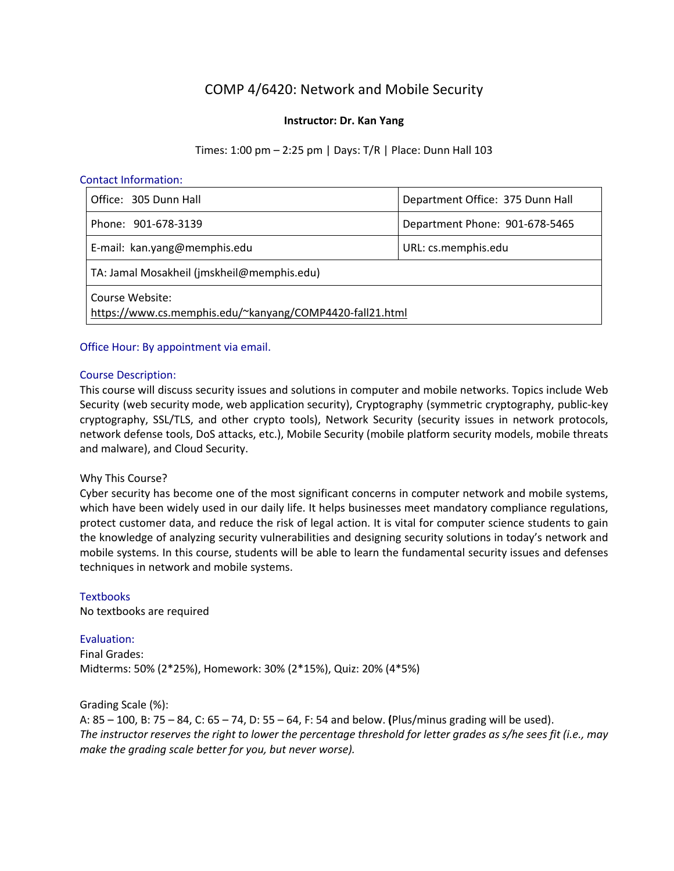# COMP 4/6420: Network and Mobile Security

## **Instructor: Dr. Kan Yang**

Times: 1:00 pm – 2:25 pm | Days: T/R | Place: Dunn Hall 103

#### Contact Information:

| Office: 305 Dunn Hall                                                       | Department Office: 375 Dunn Hall |  |
|-----------------------------------------------------------------------------|----------------------------------|--|
| Phone: 901-678-3139                                                         | Department Phone: 901-678-5465   |  |
| E-mail: kan.yang@memphis.edu                                                | URL: cs.memphis.edu              |  |
| TA: Jamal Mosakheil (jmskheil@memphis.edu)                                  |                                  |  |
| Course Website:<br>https://www.cs.memphis.edu/~kanyang/COMP4420-fall21.html |                                  |  |

## Office Hour: By appointment via email.

#### Course Description:

This course will discuss security issues and solutions in computer and mobile networks. Topics include Web Security (web security mode, web application security), Cryptography (symmetric cryptography, public-key cryptography, SSL/TLS, and other crypto tools), Network Security (security issues in network protocols, network defense tools, DoS attacks, etc.), Mobile Security (mobile platform security models, mobile threats and malware), and Cloud Security.

## Why This Course?

Cyber security has become one of the most significant concerns in computer network and mobile systems, which have been widely used in our daily life. It helps businesses meet mandatory compliance regulations, protect customer data, and reduce the risk of legal action. It is vital for computer science students to gain the knowledge of analyzing security vulnerabilities and designing security solutions in today's network and mobile systems. In this course, students will be able to learn the fundamental security issues and defenses techniques in network and mobile systems.

## **Textbooks**

No textbooks are required

#### Evaluation:

Final Grades: Midterms: 50% (2\*25%), Homework: 30% (2\*15%), Quiz: 20% (4\*5%)

Grading Scale (%): A: 85 – 100, B: 75 – 84, C: 65 – 74, D: 55 – 64, F: 54 and below. **(**Plus/minus grading will be used). The instructor reserves the right to lower the percentage threshold for letter grades as s/he sees fit (i.e., may *make the grading scale better for you, but never worse).*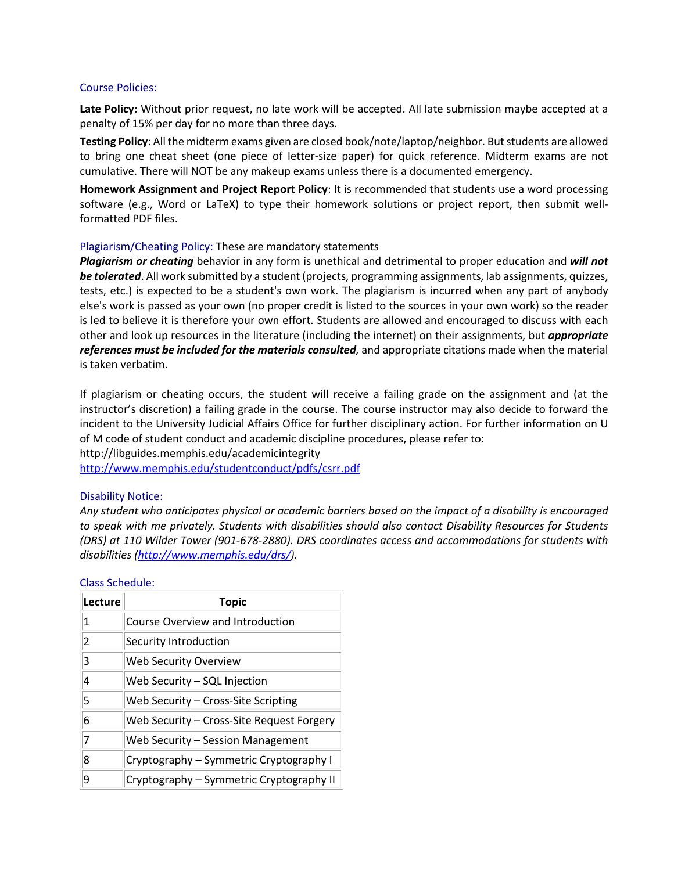#### Course Policies:

**Late Policy:** Without prior request, no late work will be accepted. All late submission maybe accepted at a penalty of 15% per day for no more than three days.

**Testing Policy**: All the midterm exams given are closed book/note/laptop/neighbor. Butstudents are allowed to bring one cheat sheet (one piece of letter-size paper) for quick reference. Midterm exams are not cumulative. There will NOT be any makeup exams unless there is a documented emergency.

**Homework Assignment and Project Report Policy**: It is recommended that students use a word processing software (e.g., Word or LaTeX) to type their homework solutions or project report, then submit wellformatted PDF files.

#### Plagiarism/Cheating Policy: These are mandatory statements

*Plagiarism or cheating* behavior in any form is unethical and detrimental to proper education and *will not be tolerated*. All work submitted by a student (projects, programming assignments, lab assignments, quizzes, tests, etc.) is expected to be a student's own work. The plagiarism is incurred when any part of anybody else's work is passed as your own (no proper credit is listed to the sources in your own work) so the reader is led to believe it is therefore your own effort. Students are allowed and encouraged to discuss with each other and look up resources in the literature (including the internet) on their assignments, but *appropriate references must be included for the materials consulted,* and appropriate citations made when the material is taken verbatim.

If plagiarism or cheating occurs, the student will receive a failing grade on the assignment and (at the instructor's discretion) a failing grade in the course. The course instructor may also decide to forward the incident to the University Judicial Affairs Office for further disciplinary action. For further information on U of M code of student conduct and academic discipline procedures, please refer to:

http://libguides.memphis.edu/academicintegrity

http://www.memphis.edu/studentconduct/pdfs/csrr.pdf

#### Disability Notice:

Any student who anticipates physical or academic barriers based on the impact of a disability is encouraged *to speak with me privately. Students with disabilities should also contact Disability Resources for Students (DRS) at 110 Wilder Tower (901-678-2880). DRS coordinates access and accommodations for students with disabilities (http://www.memphis.edu/drs/).*

| Lecture | Topic                                     |
|---------|-------------------------------------------|
| 1       | Course Overview and Introduction          |
| 2       | Security Introduction                     |
| 3       | Web Security Overview                     |
| 4       | Web Security - SQL Injection              |
| 5       | Web Security - Cross-Site Scripting       |
| 6       | Web Security - Cross-Site Request Forgery |
| 7       | Web Security - Session Management         |
| 8       | Cryptography - Symmetric Cryptography I   |
| 9       | Cryptography - Symmetric Cryptography II  |

#### Class Schedule: